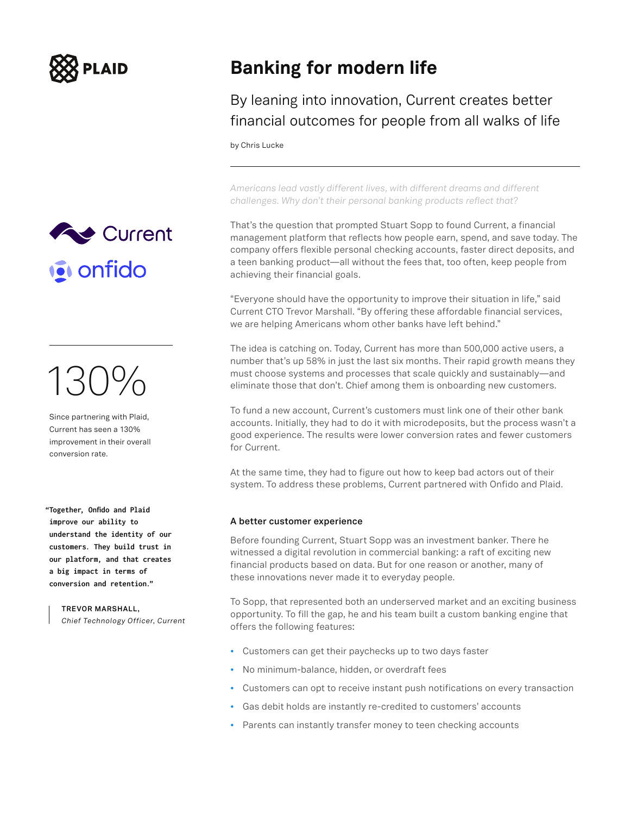



# 130%

Since partnering with Plaid, Current has seen a 130% improvement in their overall conversion rate.

**"Together, Onfido and Plaid improve our ability to understand the identity of our customers. They build trust in our platform, and that creates a big impact in terms of conversion and retention."**

> **TREVOR MARSHALL,**  *Chief Technology Officer, Current*

## **Banking for modern life**

By leaning into innovation, Current creates better financial outcomes for people from all walks of life

by Chris Lucke

*Americans lead vastly different lives, with different dreams and different challenges. Why don't their personal banking products reflect that?* 

That's the question that prompted Stuart Sopp to found Current, a financial management platform that reflects how people earn, spend, and save today. The company offers flexible personal checking accounts, faster direct deposits, and a teen banking product—all without the fees that, too often, keep people from achieving their financial goals.

"Everyone should have the opportunity to improve their situation in life," said Current CTO Trevor Marshall. "By offering these affordable financial services, we are helping Americans whom other banks have left behind."

The idea is catching on. Today, Current has more than 500,000 active users, a number that's up 58% in just the last six months. Their rapid growth means they must choose systems and processes that scale quickly and sustainably—and eliminate those that don't. Chief among them is onboarding new customers.

To fund a new account, Current's customers must link one of their other bank accounts. Initially, they had to do it with microdeposits, but the process wasn't a good experience. The results were lower conversion rates and fewer customers for Current.

At the same time, they had to figure out how to keep bad actors out of their system. To address these problems, Current partnered with Onfido and Plaid.

### **A better customer experience**

Before founding Current, Stuart Sopp was an investment banker. There he witnessed a digital revolution in commercial banking: a raft of exciting new financial products based on data. But for one reason or another, many of these innovations never made it to everyday people.

To Sopp, that represented both an underserved market and an exciting business opportunity. To fill the gap, he and his team built a custom banking engine that offers the following features:

- Customers can get their paychecks up to two days faster
- No minimum-balance, hidden, or overdraft fees
- Customers can opt to receive instant push notifications on every transaction
- Gas debit holds are instantly re-credited to customers' accounts
- Parents can instantly transfer money to teen checking accounts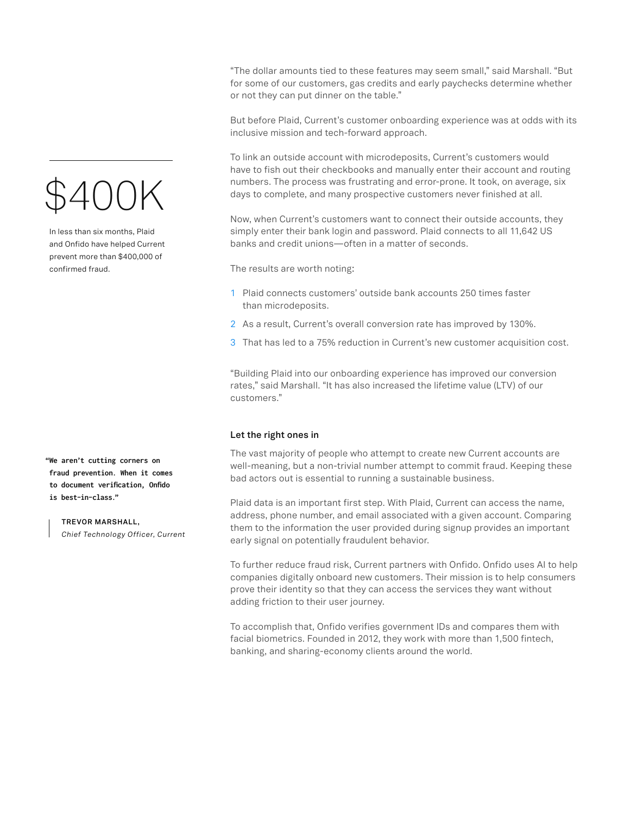\$400K

In less than six months, Plaid and Onfido have helped Current prevent more than \$400,000 of confirmed fraud.

**"We aren't cutting corners on fraud prevention. When it comes to document verification, Onfido is best-in-class."**

> **TREVOR MARSHALL,**  *Chief Technology Officer, Current*

"The dollar amounts tied to these features may seem small," said Marshall. "But for some of our customers, gas credits and early paychecks determine whether or not they can put dinner on the table."

But before Plaid, Current's customer onboarding experience was at odds with its inclusive mission and tech-forward approach.

To link an outside account with microdeposits, Current's customers would have to fish out their checkbooks and manually enter their account and routing numbers. The process was frustrating and error-prone. It took, on average, six days to complete, and many prospective customers never finished at all.

Now, when Current's customers want to connect their outside accounts, they simply enter their bank login and password. Plaid connects to all 11,642 US banks and credit unions—often in a matter of seconds.

The results are worth noting:

- 1 Plaid connects customers' outside bank accounts 250 times faster than microdeposits.
- 2 As a result, Current's overall conversion rate has improved by 130%.
- 3 That has led to a 75% reduction in Current's new customer acquisition cost.

"Building Plaid into our onboarding experience has improved our conversion rates," said Marshall. "It has also increased the lifetime value (LTV) of our customers."

#### **Let the right ones in**

The vast majority of people who attempt to create new Current accounts are well-meaning, but a non-trivial number attempt to commit fraud. Keeping these bad actors out is essential to running a sustainable business.

Plaid data is an important first step. With Plaid, Current can access the name, address, phone number, and email associated with a given account. Comparing them to the information the user provided during signup provides an important early signal on potentially fraudulent behavior.

To further reduce fraud risk, Current partners with Onfido. Onfido uses AI to help companies digitally onboard new customers. Their mission is to help consumers prove their identity so that they can access the services they want without adding friction to their user journey.

To accomplish that, Onfido verifies government IDs and compares them with facial biometrics. Founded in 2012, they work with more than 1,500 fintech, banking, and sharing-economy clients around the world.